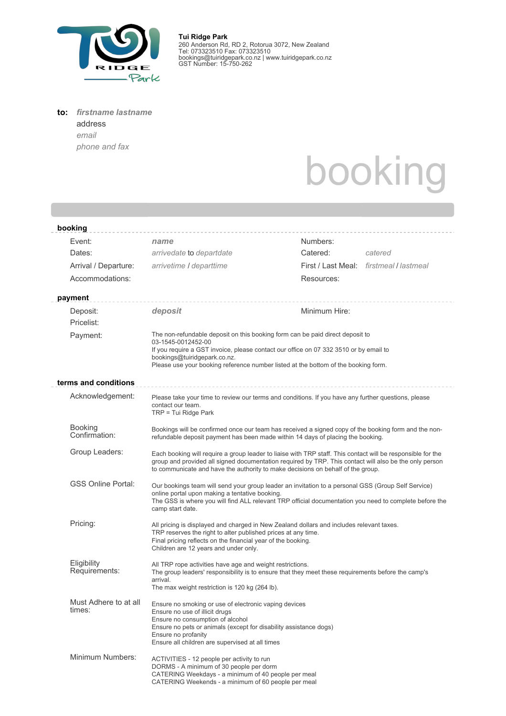

**Tui Ridge Park** 260 Anderson Rd, RD 2, Rotorua 3072, New Zealand Tel: 073323510 Fax: 073323510 bookings@tuiridgepark.co.nz | www.tuiridgepark.co.nz GST Number: 15-750-262

## **to:** *firstname lastname*

address *email phone and fax*

## booking

| booking                         |                                                                                                                                                                                                                                                                                                          |               |                                         |  |  |  |
|---------------------------------|----------------------------------------------------------------------------------------------------------------------------------------------------------------------------------------------------------------------------------------------------------------------------------------------------------|---------------|-----------------------------------------|--|--|--|
| Event:                          | name                                                                                                                                                                                                                                                                                                     | Numbers:      |                                         |  |  |  |
| Dates:                          | arrivedate to departdate                                                                                                                                                                                                                                                                                 | Catered:      | catered                                 |  |  |  |
| Arrival / Departure:            | arrivetime / departtime                                                                                                                                                                                                                                                                                  |               | First / Last Meal: firstmeal / lastmeal |  |  |  |
| Accommodations:                 |                                                                                                                                                                                                                                                                                                          | Resources:    |                                         |  |  |  |
| payment                         |                                                                                                                                                                                                                                                                                                          |               |                                         |  |  |  |
| Deposit:                        | deposit                                                                                                                                                                                                                                                                                                  | Minimum Hire: |                                         |  |  |  |
| Pricelist:                      |                                                                                                                                                                                                                                                                                                          |               |                                         |  |  |  |
| Payment:                        | The non-refundable deposit on this booking form can be paid direct deposit to<br>03-1545-0012452-00                                                                                                                                                                                                      |               |                                         |  |  |  |
|                                 | If you require a GST invoice, please contact our office on 07 332 3510 or by email to<br>bookings@tuiridgepark.co.nz.<br>Please use your booking reference number listed at the bottom of the booking form.                                                                                              |               |                                         |  |  |  |
| terms and conditions            |                                                                                                                                                                                                                                                                                                          |               |                                         |  |  |  |
| Acknowledgement:                | Please take your time to review our terms and conditions. If you have any further questions, please<br>contact our team.<br>$TRP = Tui Ridge Park$                                                                                                                                                       |               |                                         |  |  |  |
| <b>Booking</b><br>Confirmation: | Bookings will be confirmed once our team has received a signed copy of the booking form and the non-<br>refundable deposit payment has been made within 14 days of placing the booking.                                                                                                                  |               |                                         |  |  |  |
| Group Leaders:                  | Each booking will require a group leader to liaise with TRP staff. This contact will be responsible for the<br>group and provided all signed documentation required by TRP. This contact will also be the only person<br>to communicate and have the authority to make decisions on behalf of the group. |               |                                         |  |  |  |
| <b>GSS Online Portal:</b>       | Our bookings team will send your group leader an invitation to a personal GSS (Group Self Service)<br>online portal upon making a tentative booking.<br>The GSS is where you will find ALL relevant TRP official documentation you need to complete before the<br>camp start date.                       |               |                                         |  |  |  |
| Pricing:                        | All pricing is displayed and charged in New Zealand dollars and includes relevant taxes.<br>TRP reserves the right to alter published prices at any time.<br>Final pricing reflects on the financial year of the booking.<br>Children are 12 years and under only.                                       |               |                                         |  |  |  |
| Eligibility<br>Requirements:    | All TRP rope activities have age and weight restrictions.<br>The group leaders' responsibility is to ensure that they meet these requirements before the camp's<br>arrival.<br>The max weight restriction is 120 kg (264 lb).                                                                            |               |                                         |  |  |  |
| Must Adhere to at all<br>times: | Ensure no smoking or use of electronic vaping devices<br>Ensure no use of illicit drugs<br>Ensure no consumption of alcohol<br>Ensure no pets or animals (except for disability assistance dogs)<br>Ensure no profanity<br>Ensure all children are supervised at all times                               |               |                                         |  |  |  |
| Minimum Numbers:                | ACTIVITIES - 12 people per activity to run<br>DORMS - A minimum of 30 people per dorm<br>CATERING Weekdays - a minimum of 40 people per meal<br>CATERING Weekends - a minimum of 60 people per meal                                                                                                      |               |                                         |  |  |  |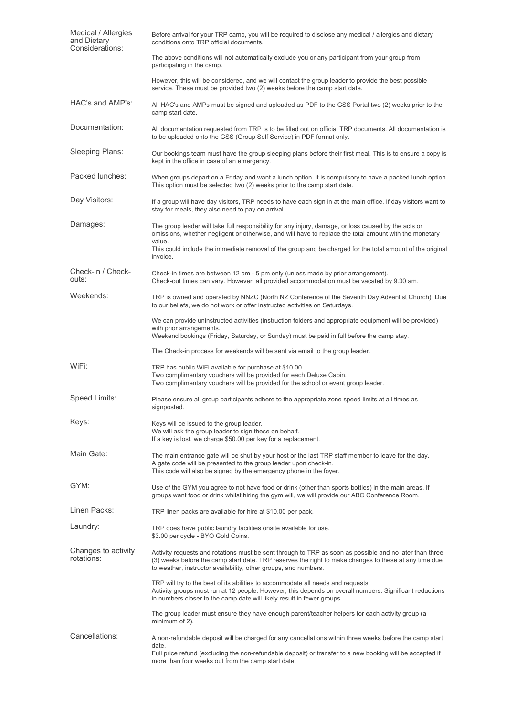| Medical / Allergies<br>and Dietary<br>Considerations: | Before arrival for your TRP camp, you will be required to disclose any medical / allergies and dietary<br>conditions onto TRP official documents.                                                                                                                                   |  |  |  |  |
|-------------------------------------------------------|-------------------------------------------------------------------------------------------------------------------------------------------------------------------------------------------------------------------------------------------------------------------------------------|--|--|--|--|
|                                                       | The above conditions will not automatically exclude you or any participant from your group from<br>participating in the camp.                                                                                                                                                       |  |  |  |  |
|                                                       | However, this will be considered, and we will contact the group leader to provide the best possible<br>service. These must be provided two (2) weeks before the camp start date.                                                                                                    |  |  |  |  |
| HAC's and AMP's:                                      | All HAC's and AMPs must be signed and uploaded as PDF to the GSS Portal two (2) weeks prior to the<br>camp start date.                                                                                                                                                              |  |  |  |  |
| Documentation:                                        | All documentation requested from TRP is to be filled out on official TRP documents. All documentation is<br>to be uploaded onto the GSS (Group Self Service) in PDF format only.                                                                                                    |  |  |  |  |
| Sleeping Plans:                                       | Our bookings team must have the group sleeping plans before their first meal. This is to ensure a copy is<br>kept in the office in case of an emergency.                                                                                                                            |  |  |  |  |
| Packed lunches:                                       | When groups depart on a Friday and want a lunch option, it is compulsory to have a packed lunch option.<br>This option must be selected two (2) weeks prior to the camp start date.                                                                                                 |  |  |  |  |
| Day Visitors:                                         | If a group will have day visitors, TRP needs to have each sign in at the main office. If day visitors want to<br>stay for meals, they also need to pay on arrival.                                                                                                                  |  |  |  |  |
| Damages:                                              | The group leader will take full responsibility for any injury, damage, or loss caused by the acts or<br>omissions, whether negligent or otherwise, and will have to replace the total amount with the monetary                                                                      |  |  |  |  |
|                                                       | value.<br>This could include the immediate removal of the group and be charged for the total amount of the original<br>invoice.                                                                                                                                                     |  |  |  |  |
| Check-in / Check-<br>outs:                            | Check-in times are between 12 pm - 5 pm only (unless made by prior arrangement).<br>Check-out times can vary. However, all provided accommodation must be vacated by 9.30 am.                                                                                                       |  |  |  |  |
| Weekends:                                             | TRP is owned and operated by NNZC (North NZ Conference of the Seventh Day Adventist Church). Due<br>to our beliefs, we do not work or offer instructed activities on Saturdays.                                                                                                     |  |  |  |  |
|                                                       | We can provide uninstructed activities (instruction folders and appropriate equipment will be provided)<br>with prior arrangements.<br>Weekend bookings (Friday, Saturday, or Sunday) must be paid in full before the camp stay.                                                    |  |  |  |  |
|                                                       | The Check-in process for weekends will be sent via email to the group leader.                                                                                                                                                                                                       |  |  |  |  |
| WiFi:                                                 |                                                                                                                                                                                                                                                                                     |  |  |  |  |
|                                                       | TRP has public WiFi available for purchase at \$10.00.<br>Two complimentary vouchers will be provided for each Deluxe Cabin.<br>Two complimentary vouchers will be provided for the school or event group leader.                                                                   |  |  |  |  |
| Speed Limits:                                         | Please ensure all group participants adhere to the appropriate zone speed limits at all times as<br>signposted.                                                                                                                                                                     |  |  |  |  |
| Keys:                                                 | Keys will be issued to the group leader.<br>We will ask the group leader to sign these on behalf.<br>If a key is lost, we charge \$50.00 per key for a replacement.                                                                                                                 |  |  |  |  |
| Main Gate:                                            | The main entrance gate will be shut by your host or the last TRP staff member to leave for the day.<br>A gate code will be presented to the group leader upon check-in.<br>This code will also be signed by the emergency phone in the foyer.                                       |  |  |  |  |
| GYM:                                                  | Use of the GYM you agree to not have food or drink (other than sports bottles) in the main areas. If<br>groups want food or drink whilst hiring the gym will, we will provide our ABC Conference Room.                                                                              |  |  |  |  |
| Linen Packs:                                          | TRP linen packs are available for hire at \$10.00 per pack.                                                                                                                                                                                                                         |  |  |  |  |
| Laundry:                                              | TRP does have public laundry facilities onsite available for use.<br>\$3.00 per cycle - BYO Gold Coins.                                                                                                                                                                             |  |  |  |  |
| Changes to activity<br>rotations:                     | Activity requests and rotations must be sent through to TRP as soon as possible and no later than three<br>(3) weeks before the camp start date. TRP reserves the right to make changes to these at any time due<br>to weather, instructor availability, other groups, and numbers. |  |  |  |  |
|                                                       | TRP will try to the best of its abilities to accommodate all needs and requests.<br>Activity groups must run at 12 people. However, this depends on overall numbers. Significant reductions<br>in numbers closer to the camp date will likely result in fewer groups.               |  |  |  |  |
|                                                       | The group leader must ensure they have enough parent/teacher helpers for each activity group (a<br>minimum of 2).                                                                                                                                                                   |  |  |  |  |
| Cancellations:                                        | A non-refundable deposit will be charged for any cancellations within three weeks before the camp start                                                                                                                                                                             |  |  |  |  |
|                                                       | date.<br>Full price refund (excluding the non-refundable deposit) or transfer to a new booking will be accepted if<br>more than four weeks out from the camp start date.                                                                                                            |  |  |  |  |